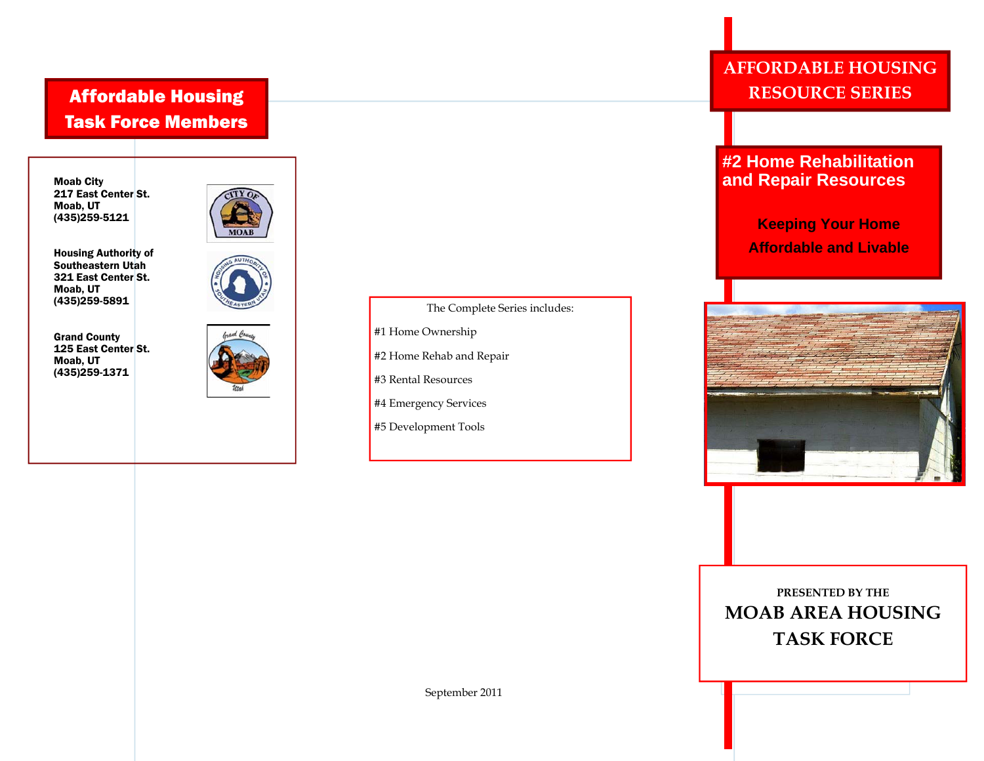## Affordable Housing Task Force Members

Moab City 217 East Center St. Moab, UT (435)259-5121



Housing Authority of Southeastern Utah 321 East Center St. Moab, UT (435)259-5891

Grand County 125 East Center St. Moab, UT (435)259-1371



The Complete Series includes:

- #1 Home Ownership
- #2 Home Rehab and Repair
- #3 Rental Resources
- #4 Emergency Services
- #5 Development Tools

## **AFFORDABLE HOUSING RESOURCE SERIES**

## **#2 Home Rehabilitation and Repair Resources**

**Keeping Your Home Affordable and Livable** 



**PRESENTED BY THE MOAB AREA HOUSING TASK FORCE**